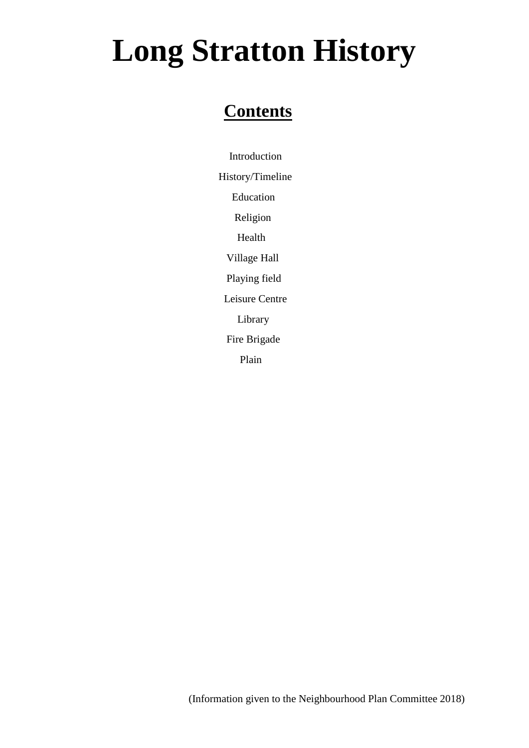### **Contents**

 Introduction History/Timeline Education Religion Health Village Hall Playing field Leisure Centre Library Fire Brigade Plain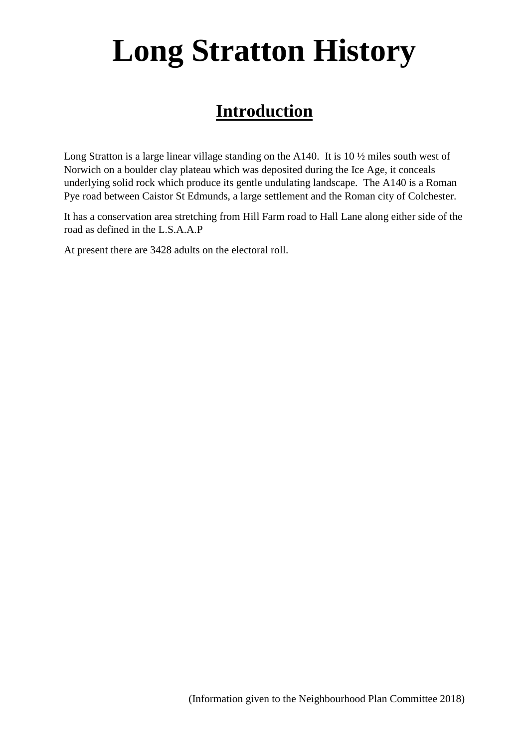### **Introduction**

Long Stratton is a large linear village standing on the A140. It is 10  $\frac{1}{2}$  miles south west of Norwich on a boulder clay plateau which was deposited during the Ice Age, it conceals underlying solid rock which produce its gentle undulating landscape. The A140 is a Roman Pye road between Caistor St Edmunds, a large settlement and the Roman city of Colchester.

It has a conservation area stretching from Hill Farm road to Hall Lane along either side of the road as defined in the L.S.A.A.P

At present there are 3428 adults on the electoral roll.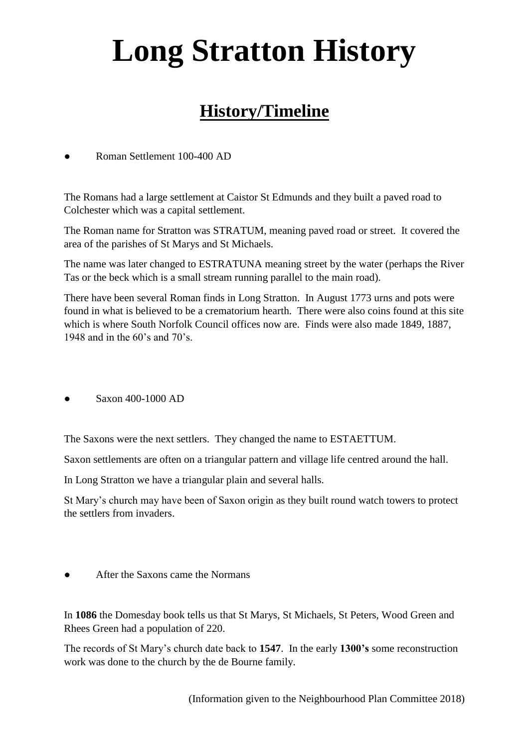### **History/Timeline**

Roman Settlement 100-400 AD

The Romans had a large settlement at Caistor St Edmunds and they built a paved road to Colchester which was a capital settlement.

The Roman name for Stratton was STRATUM, meaning paved road or street. It covered the area of the parishes of St Marys and St Michaels.

The name was later changed to ESTRATUNA meaning street by the water (perhaps the River Tas or the beck which is a small stream running parallel to the main road).

There have been several Roman finds in Long Stratton. In August 1773 urns and pots were found in what is believed to be a crematorium hearth. There were also coins found at this site which is where South Norfolk Council offices now are. Finds were also made 1849, 1887, 1948 and in the 60's and 70's.

● Saxon 400-1000 AD

The Saxons were the next settlers. They changed the name to ESTAETTUM.

Saxon settlements are often on a triangular pattern and village life centred around the hall.

In Long Stratton we have a triangular plain and several halls.

St Mary's church may have been of Saxon origin as they built round watch towers to protect the settlers from invaders.

After the Saxons came the Normans

In **1086** the Domesday book tells us that St Marys, St Michaels, St Peters, Wood Green and Rhees Green had a population of 220.

The records of St Mary's church date back to **1547**. In the early **1300's** some reconstruction work was done to the church by the de Bourne family.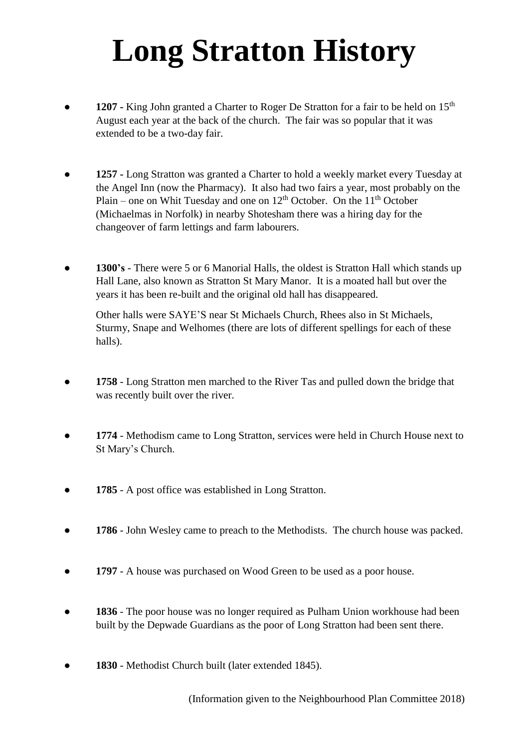- 1207 King John granted a Charter to Roger De Stratton for a fair to be held on 15<sup>th</sup> August each year at the back of the church. The fair was so popular that it was extended to be a two-day fair.
- *●* **1257 -** Long Stratton was granted a Charter to hold a weekly market every Tuesday at the Angel Inn (now the Pharmacy). It also had two fairs a year, most probably on the Plain – one on Whit Tuesday and one on  $12<sup>th</sup>$  October. On the  $11<sup>th</sup>$  October (Michaelmas in Norfolk) in nearby Shotesham there was a hiring day for the changeover of farm lettings and farm labourers.
- **1300's** There were 5 or 6 Manorial Halls, the oldest is Stratton Hall which stands up Hall Lane, also known as Stratton St Mary Manor. It is a moated hall but over the years it has been re-built and the original old hall has disappeared.

Other halls were SAYE'S near St Michaels Church, Rhees also in St Michaels, Sturmy, Snape and Welhomes (there are lots of different spellings for each of these halls).

- 1758 Long Stratton men marched to the River Tas and pulled down the bridge that was recently built over the river.
- **1774** Methodism came to Long Stratton, services were held in Church House next to St Mary's Church.
- 1785 A post office was established in Long Stratton.
- **1786** John Wesley came to preach to the Methodists. The church house was packed.
- **1797** A house was purchased on Wood Green to be used as a poor house.
- 1836 The poor house was no longer required as Pulham Union workhouse had been built by the Depwade Guardians as the poor of Long Stratton had been sent there.
- 1830 Methodist Church built (later extended 1845).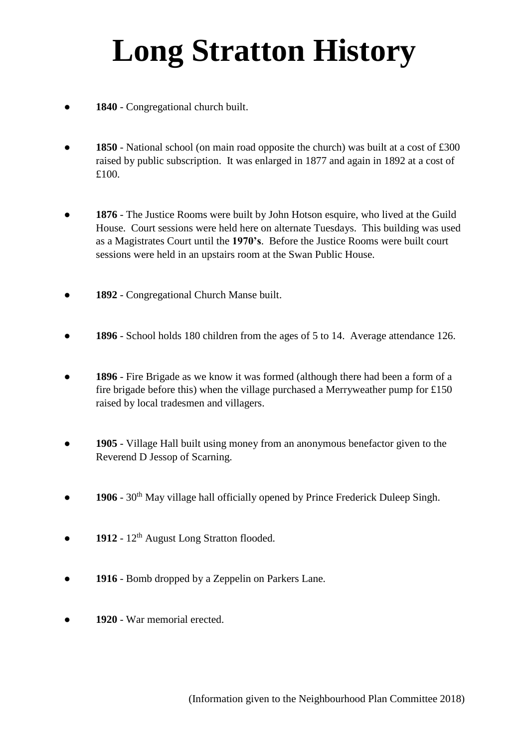- 1840 Congregational church built.
- **1850** National school (on main road opposite the church) was built at a cost of £300 raised by public subscription. It was enlarged in 1877 and again in 1892 at a cost of £100.
- 1876 The Justice Rooms were built by John Hotson esquire, who lived at the Guild House. Court sessions were held here on alternate Tuesdays. This building was used as a Magistrates Court until the **1970's**. Before the Justice Rooms were built court sessions were held in an upstairs room at the Swan Public House.
- **1892** Congregational Church Manse built.
- **1896** School holds 180 children from the ages of 5 to 14. Average attendance 126.
- **1896** Fire Brigade as we know it was formed (although there had been a form of a fire brigade before this) when the village purchased a Merryweather pump for £150 raised by local tradesmen and villagers.
- **1905** Village Hall built using money from an anonymous benefactor given to the Reverend D Jessop of Scarning.
- 1906 30<sup>th</sup> May village hall officially opened by Prince Frederick Duleep Singh.
- **• 1912** 12<sup>th</sup> August Long Stratton flooded.
- **• 1916** Bomb dropped by a Zeppelin on Parkers Lane.
- 1920 War memorial erected.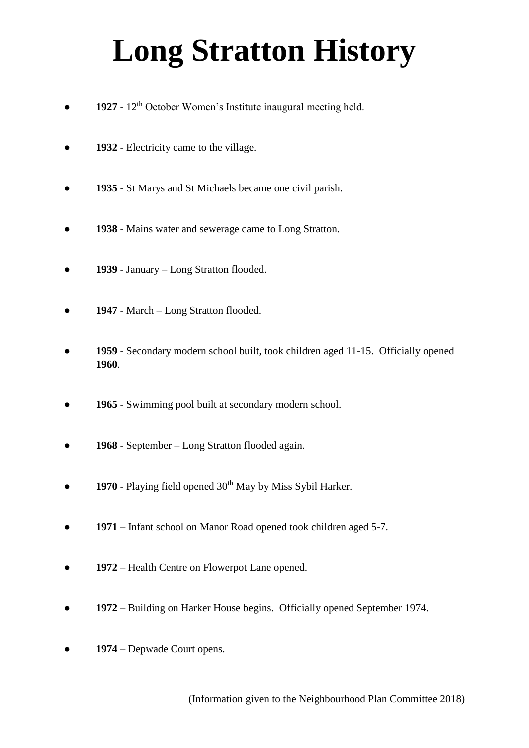- **1927** 12<sup>th</sup> October Women's Institute inaugural meeting held.
- **1932** Electricity came to the village.
- **1935** St Marys and St Michaels became one civil parish.
- **1938** Mains water and sewerage came to Long Stratton.
- **1939** January Long Stratton flooded.
- 1947 March Long Stratton flooded.
- 1959 Secondary modern school built, took children aged 11-15. Officially opened **1960**.
- 1965 Swimming pool built at secondary modern school.
- **1968** September Long Stratton flooded again.
- **1970** Playing field opened 30<sup>th</sup> May by Miss Sybil Harker.
- **1971** Infant school on Manor Road opened took children aged 5-7.
- **• 1972** Health Centre on Flowerpot Lane opened.
- **1972** Building on Harker House begins. Officially opened September 1974.
- 1974 Depwade Court opens.

(Information given to the Neighbourhood Plan Committee 2018)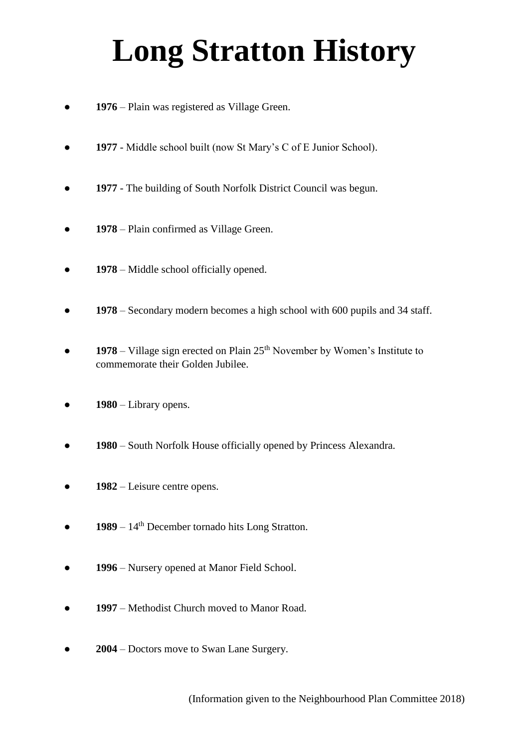- 1976 Plain was registered as Village Green.
- **1977** Middle school built (now St Mary's C of E Junior School).
- **1977** The building of South Norfolk District Council was begun.
- **1978** Plain confirmed as Village Green.
- **• 1978** Middle school officially opened.
- 1978 Secondary modern becomes a high school with 600 pupils and 34 staff.
- $1978$  Village sign erected on Plain  $25<sup>th</sup>$  November by Women's Institute to commemorate their Golden Jubilee.
- 1980 Library opens.
- **1980** South Norfolk House officially opened by Princess Alexandra.
- **• 1982** Leisure centre opens.
- $\bullet$  **1989** 14<sup>th</sup> December tornado hits Long Stratton.
- **• 1996** Nursery opened at Manor Field School.
- **• 1997** Methodist Church moved to Manor Road.
- **2004** Doctors move to Swan Lane Surgery.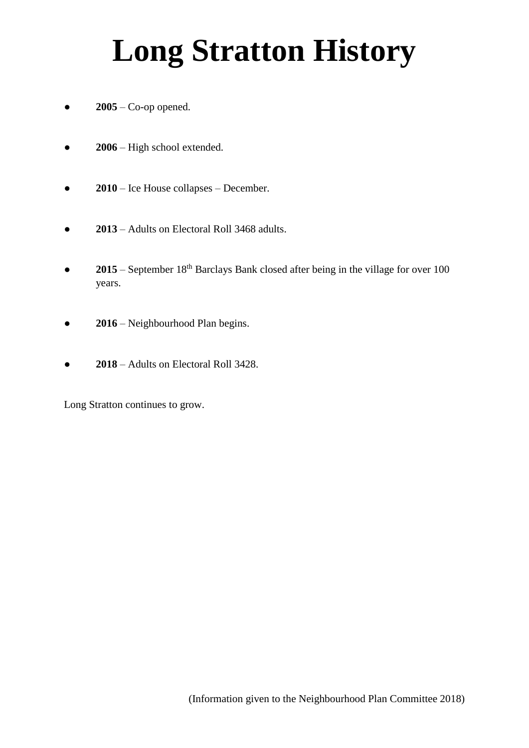- $\bullet$  **2005** Co-op opened.
- **2006** High school extended.
- **2010** Ice House collapses December.
- **2013** Adults on Electoral Roll 3468 adults.
- **2015** September 18<sup>th</sup> Barclays Bank closed after being in the village for over 100 years.
- **• 2016** Neighbourhood Plan begins.
- **2018** Adults on Electoral Roll 3428.

Long Stratton continues to grow.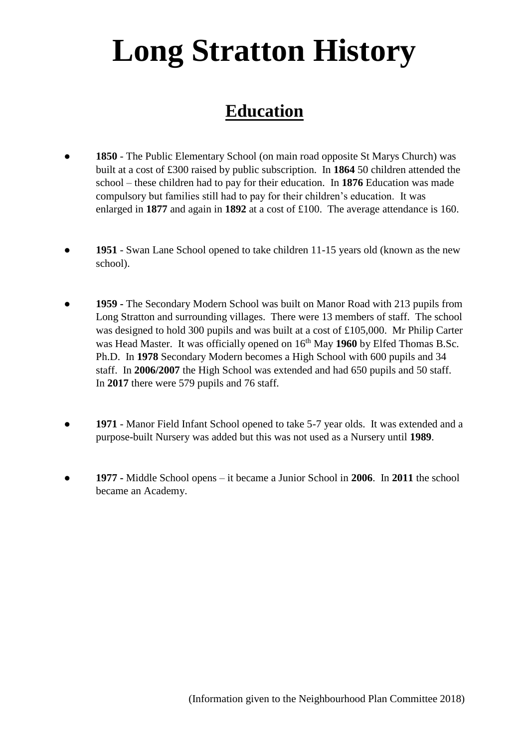### **Education**

- **1850** The Public Elementary School (on main road opposite St Marys Church) was built at a cost of £300 raised by public subscription. In **1864** 50 children attended the school – these children had to pay for their education. In **1876** Education was made compulsory but families still had to pay for their children's education. It was enlarged in **1877** and again in **1892** at a cost of £100. The average attendance is 160.
- **1951** Swan Lane School opened to take children 11-15 years old (known as the new school).
- **1959 -** The Secondary Modern School was built on Manor Road with 213 pupils from Long Stratton and surrounding villages. There were 13 members of staff. The school was designed to hold 300 pupils and was built at a cost of £105,000. Mr Philip Carter was Head Master. It was officially opened on  $16<sup>th</sup>$  May 1960 by Elfed Thomas B.Sc. Ph.D. In **1978** Secondary Modern becomes a High School with 600 pupils and 34 staff. In **2006/2007** the High School was extended and had 650 pupils and 50 staff. In **2017** there were 579 pupils and 76 staff.
- **1971** Manor Field Infant School opened to take 5-7 year olds. It was extended and a purpose-built Nursery was added but this was not used as a Nursery until **1989**.
- **● 1977 -** Middle School opens it became a Junior School in **2006**. In **2011** the school became an Academy.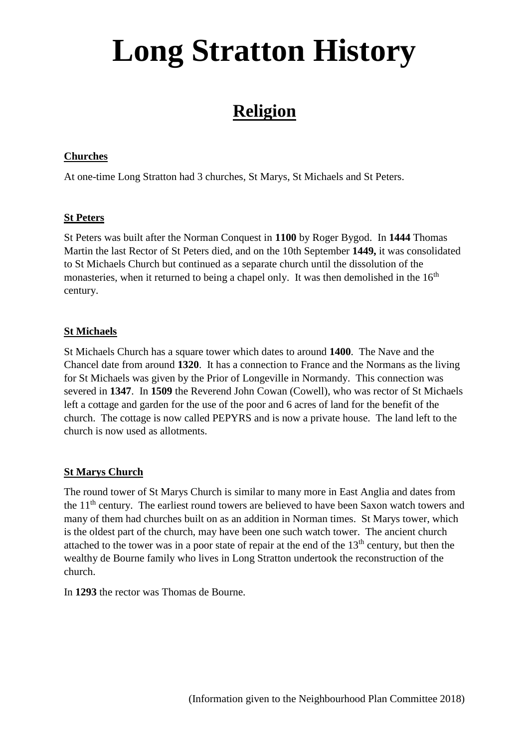### **Religion**

#### **Churches**

At one-time Long Stratton had 3 churches, St Marys, St Michaels and St Peters.

#### **St Peters**

St Peters was built after the Norman Conquest in **1100** by Roger Bygod. In **1444** Thomas Martin the last Rector of St Peters died, and on the 10th September **1449,** it was consolidated to St Michaels Church but continued as a separate church until the dissolution of the monasteries, when it returned to being a chapel only. It was then demolished in the  $16<sup>th</sup>$ century.

#### **St Michaels**

St Michaels Church has a square tower which dates to around **1400**. The Nave and the Chancel date from around **1320**. It has a connection to France and the Normans as the living for St Michaels was given by the Prior of Longeville in Normandy. This connection was severed in **1347**. In **1509** the Reverend John Cowan (Cowell), who was rector of St Michaels left a cottage and garden for the use of the poor and 6 acres of land for the benefit of the church. The cottage is now called PEPYRS and is now a private house. The land left to the church is now used as allotments.

#### **St Marys Church**

The round tower of St Marys Church is similar to many more in East Anglia and dates from the  $11<sup>th</sup>$  century. The earliest round towers are believed to have been Saxon watch towers and many of them had churches built on as an addition in Norman times. St Marys tower, which is the oldest part of the church, may have been one such watch tower. The ancient church attached to the tower was in a poor state of repair at the end of the  $13<sup>th</sup>$  century, but then the wealthy de Bourne family who lives in Long Stratton undertook the reconstruction of the church.

In **1293** the rector was Thomas de Bourne.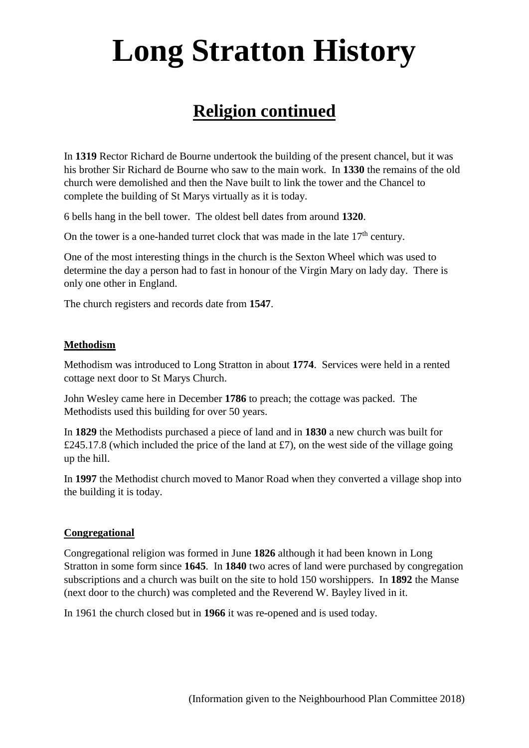### **Religion continued**

In **1319** Rector Richard de Bourne undertook the building of the present chancel, but it was his brother Sir Richard de Bourne who saw to the main work. In **1330** the remains of the old church were demolished and then the Nave built to link the tower and the Chancel to complete the building of St Marys virtually as it is today.

6 bells hang in the bell tower. The oldest bell dates from around **1320**.

On the tower is a one-handed turret clock that was made in the late  $17<sup>th</sup>$  century.

One of the most interesting things in the church is the Sexton Wheel which was used to determine the day a person had to fast in honour of the Virgin Mary on lady day. There is only one other in England.

The church registers and records date from **1547**.

#### **Methodism**

Methodism was introduced to Long Stratton in about **1774**. Services were held in a rented cottage next door to St Marys Church.

John Wesley came here in December **1786** to preach; the cottage was packed. The Methodists used this building for over 50 years.

In **1829** the Methodists purchased a piece of land and in **1830** a new church was built for £245.17.8 (which included the price of the land at £7), on the west side of the village going up the hill.

In **1997** the Methodist church moved to Manor Road when they converted a village shop into the building it is today.

#### **Congregational**

Congregational religion was formed in June **1826** although it had been known in Long Stratton in some form since **1645**. In **1840** two acres of land were purchased by congregation subscriptions and a church was built on the site to hold 150 worshippers. In **1892** the Manse (next door to the church) was completed and the Reverend W. Bayley lived in it.

In 1961 the church closed but in **1966** it was re-opened and is used today.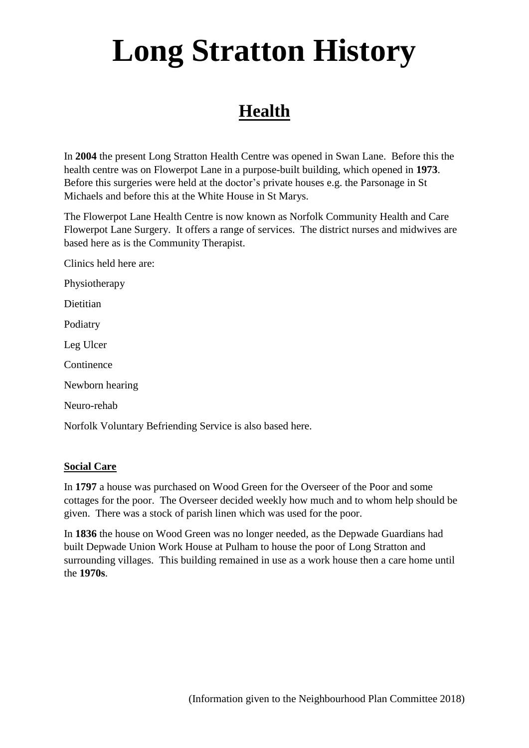### **Health**

In **2004** the present Long Stratton Health Centre was opened in Swan Lane. Before this the health centre was on Flowerpot Lane in a purpose-built building, which opened in **1973**. Before this surgeries were held at the doctor's private houses e.g. the Parsonage in St Michaels and before this at the White House in St Marys.

The Flowerpot Lane Health Centre is now known as Norfolk Community Health and Care Flowerpot Lane Surgery. It offers a range of services. The district nurses and midwives are based here as is the Community Therapist.

Clinics held here are:

Physiotherapy

Dietitian

Podiatry

Leg Ulcer

Continence

Newborn hearing

Neuro-rehab

Norfolk Voluntary Befriending Service is also based here.

#### **Social Care**

In **1797** a house was purchased on Wood Green for the Overseer of the Poor and some cottages for the poor. The Overseer decided weekly how much and to whom help should be given. There was a stock of parish linen which was used for the poor.

In **1836** the house on Wood Green was no longer needed, as the Depwade Guardians had built Depwade Union Work House at Pulham to house the poor of Long Stratton and surrounding villages. This building remained in use as a work house then a care home until the **1970s**.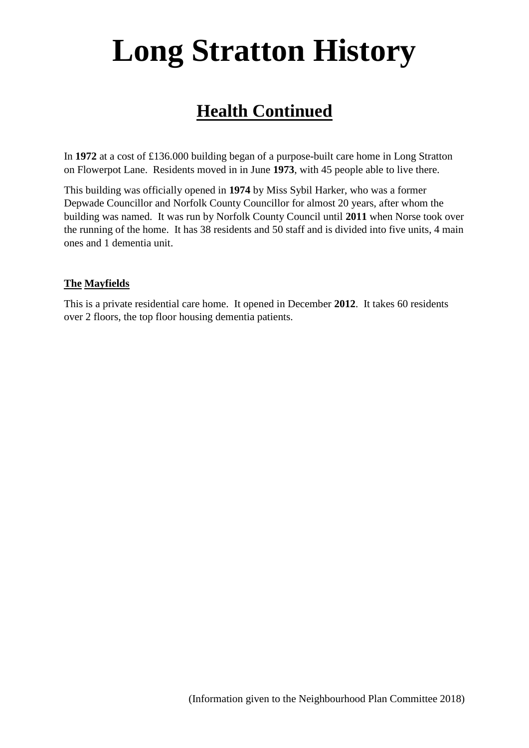### **Health Continued**

In **1972** at a cost of £136.000 building began of a purpose-built care home in Long Stratton on Flowerpot Lane. Residents moved in in June **1973**, with 45 people able to live there.

This building was officially opened in **1974** by Miss Sybil Harker, who was a former Depwade Councillor and Norfolk County Councillor for almost 20 years, after whom the building was named. It was run by Norfolk County Council until **2011** when Norse took over the running of the home. It has 38 residents and 50 staff and is divided into five units, 4 main ones and 1 dementia unit.

#### **The Mayfields**

This is a private residential care home. It opened in December **2012**. It takes 60 residents over 2 floors, the top floor housing dementia patients.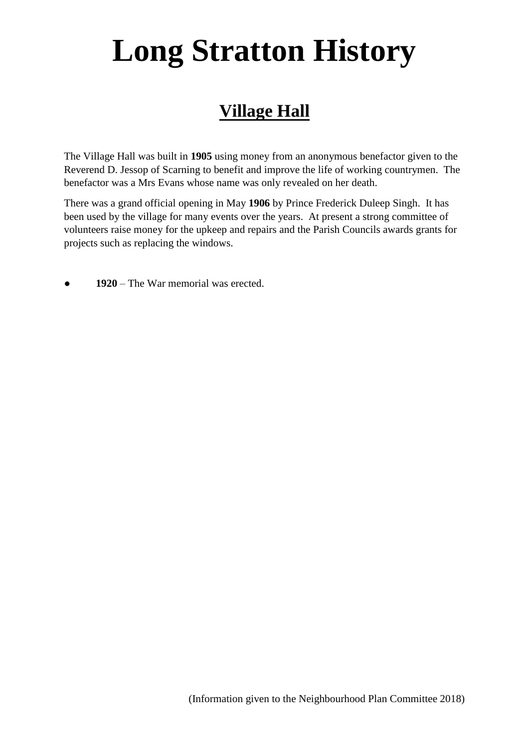### **Village Hall**

The Village Hall was built in **1905** using money from an anonymous benefactor given to the Reverend D. Jessop of Scarning to benefit and improve the life of working countrymen. The benefactor was a Mrs Evans whose name was only revealed on her death.

There was a grand official opening in May **1906** by Prince Frederick Duleep Singh. It has been used by the village for many events over the years. At present a strong committee of volunteers raise money for the upkeep and repairs and the Parish Councils awards grants for projects such as replacing the windows.

1920 – The War memorial was erected.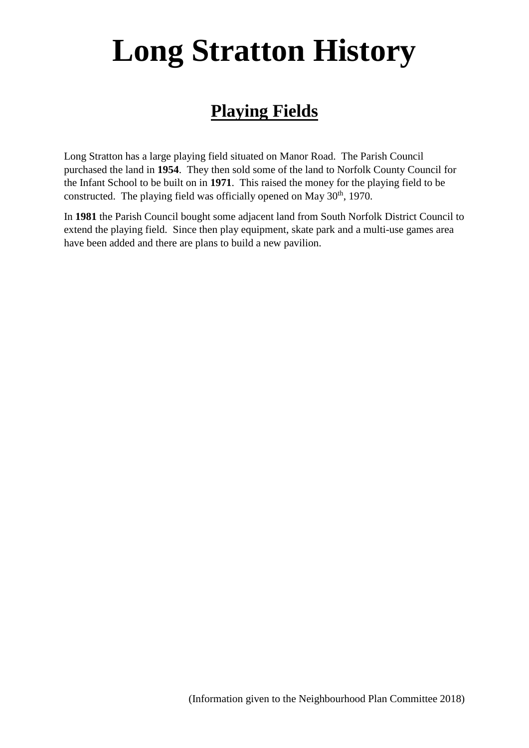### **Playing Fields**

Long Stratton has a large playing field situated on Manor Road. The Parish Council purchased the land in **1954**. They then sold some of the land to Norfolk County Council for the Infant School to be built on in **1971**. This raised the money for the playing field to be constructed. The playing field was officially opened on May  $30<sup>th</sup>$ , 1970.

In **1981** the Parish Council bought some adjacent land from South Norfolk District Council to extend the playing field. Since then play equipment, skate park and a multi-use games area have been added and there are plans to build a new pavilion.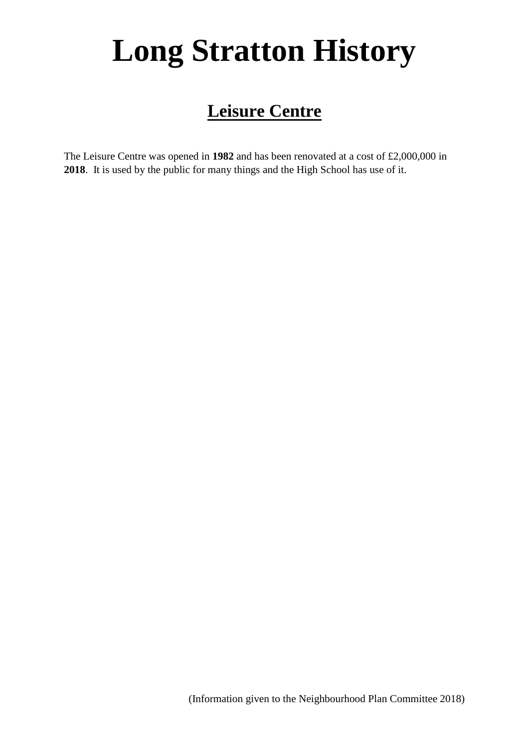### **Leisure Centre**

The Leisure Centre was opened in **1982** and has been renovated at a cost of £2,000,000 in **2018**. It is used by the public for many things and the High School has use of it.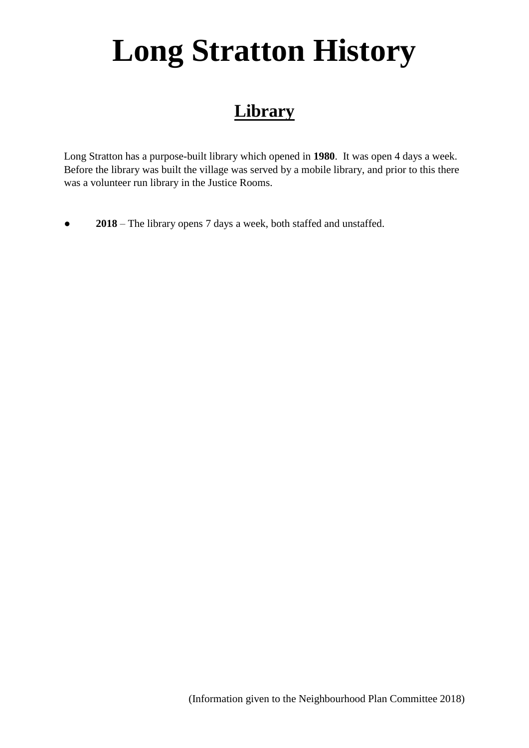### **Library**

Long Stratton has a purpose-built library which opened in **1980**. It was open 4 days a week. Before the library was built the village was served by a mobile library, and prior to this there was a volunteer run library in the Justice Rooms.

● **2018** – The library opens 7 days a week, both staffed and unstaffed.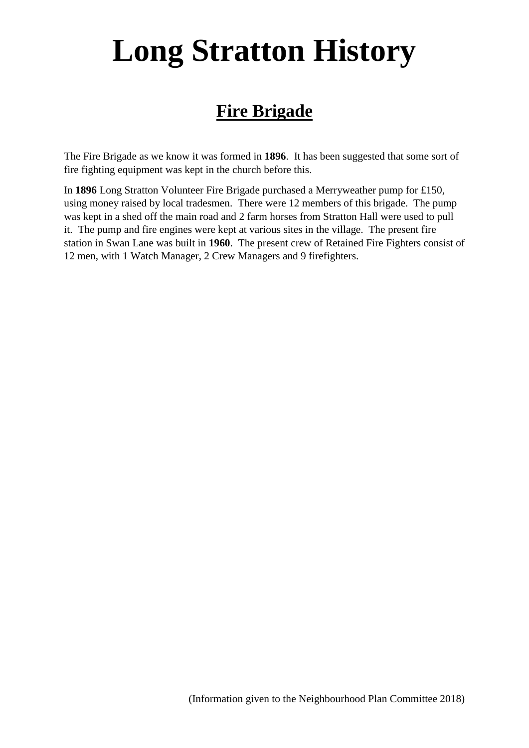### **Fire Brigade**

The Fire Brigade as we know it was formed in **1896**. It has been suggested that some sort of fire fighting equipment was kept in the church before this.

In **1896** Long Stratton Volunteer Fire Brigade purchased a Merryweather pump for £150, using money raised by local tradesmen. There were 12 members of this brigade. The pump was kept in a shed off the main road and 2 farm horses from Stratton Hall were used to pull it. The pump and fire engines were kept at various sites in the village. The present fire station in Swan Lane was built in **1960**. The present crew of Retained Fire Fighters consist of 12 men, with 1 Watch Manager, 2 Crew Managers and 9 firefighters.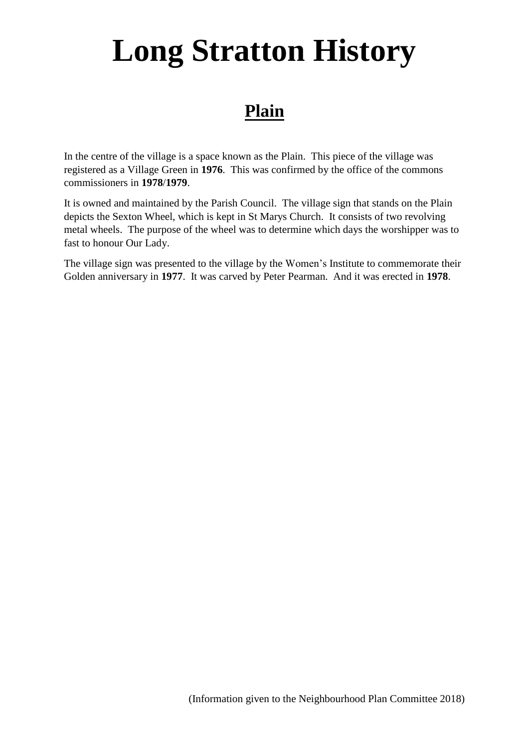### **Plain**

In the centre of the village is a space known as the Plain. This piece of the village was registered as a Village Green in **1976**. This was confirmed by the office of the commons commissioners in **1978**/**1979**.

It is owned and maintained by the Parish Council. The village sign that stands on the Plain depicts the Sexton Wheel, which is kept in St Marys Church. It consists of two revolving metal wheels. The purpose of the wheel was to determine which days the worshipper was to fast to honour Our Lady.

The village sign was presented to the village by the Women's Institute to commemorate their Golden anniversary in **1977**. It was carved by Peter Pearman. And it was erected in **1978**.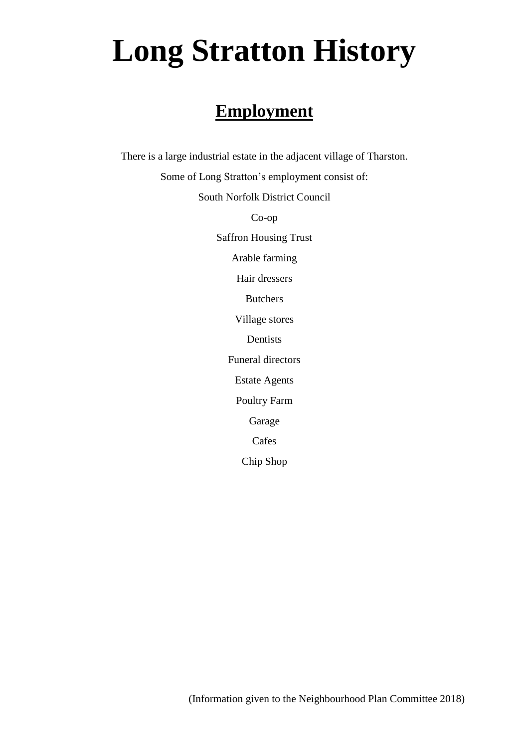### **Employment**

There is a large industrial estate in the adjacent village of Tharston. Some of Long Stratton's employment consist of: South Norfolk District Council Co-op Saffron Housing Trust Arable farming Hair dressers Butchers Village stores Dentists Funeral directors Estate Agents Poultry Farm Garage Cafes Chip Shop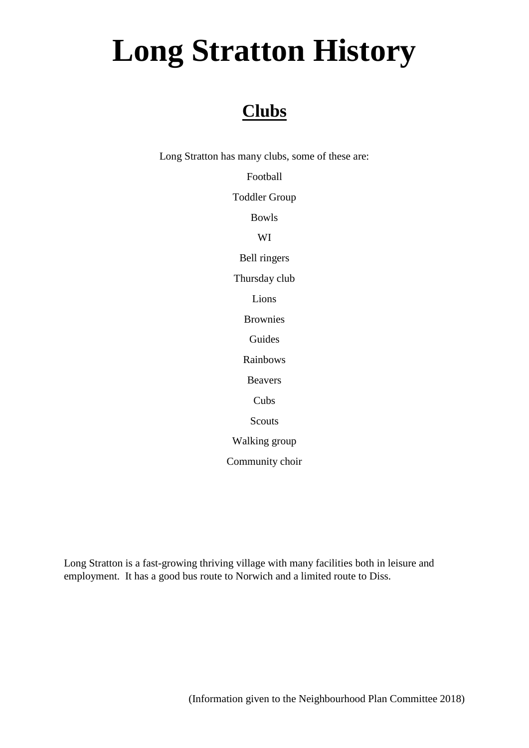## **Clubs**

Long Stratton has many clubs, some of these are:

Football Toddler Group Bowls WI Bell ringers Thursday club Lions Brownies Guides Rainbows Beavers Cubs Scouts Walking group Community choir

Long Stratton is a fast-growing thriving village with many facilities both in leisure and employment. It has a good bus route to Norwich and a limited route to Diss.